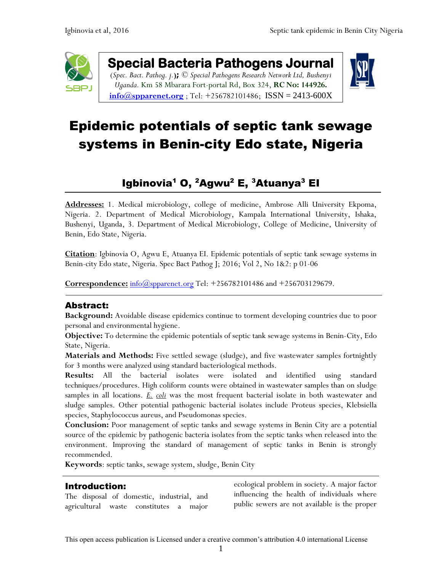

**Special Bacteria Pathogens Journal**  (*Spec. Bact. Pathog. j.***);** *© Special Pathogens Research Network Ltd, Bushenyi Uganda.* Km 58 Mbarara Fort-portal Rd, Box 324, **RC No: 144926.**

 $\frac{\text{info}(a) \text{spparent.org}}{\text{info}(a) \text{spparent.org}}$ ; Tel: +256782101486; [ISSN = 2413-600X](https://www.google.com/url?sa=t&rct=j&q=&esrc=s&source=web&cd=1&cad=rja&uact=8&ved=0ahUKEwiFp5Ggge_XAhWpAsAKHapIARsQFggqMAA&url=http%3A%2F%2Fwww.spparenet.us%2FSBPJ%2Fscope%2F&usg=AOvVaw3D79hMirI6WLP01DNutMuL)



# Epidemic potentials of septic tank sewage systems in Benin-city Edo state, Nigeria

# Igbinovia<sup>1</sup> O,  $^2$ Agwu $^2$  E,  $^3$ Atuanya $^3$  EI

**Addresses:** 1. Medical microbiology, college of medicine, Ambrose Alli University Ekpoma, Nigeria. 2. Department of Medical Microbiology, Kampala International University, Ishaka, Bushenyi, Uganda, 3. Department of Medical Microbiology, College of Medicine, University of Benin, Edo State, Nigeria.

**Citation**: Igbinovia O, Agwu E, Atuanya EI. Epidemic potentials of septic tank sewage systems in Benin-city Edo state, Nigeria. Spec Bact Pathog J; 2016; Vol 2, No 1&2: p 01-06

**Correspondence:** [info@spparenet.org](mailto:info@spparenet.org) Tel: +256782101486 and +256703129679.

# Abstract:

**Background:** Avoidable disease epidemics continue to torment developing countries due to poor personal and environmental hygiene.

**Objective:** To determine the epidemic potentials of septic tank sewage systems in Benin-City, Edo State, Nigeria.

**Materials and Methods:** Five settled sewage (sludge), and five wastewater samples fortnightly for 3 months were analyzed using standard bacteriological methods.

**Results:** All the bacterial isolates were isolated and identified using standard techniques/procedures. High coliform counts were obtained in wastewater samples than on sludge samples in all locations. *E. coli* was the most frequent bacterial isolate in both wastewater and sludge samples. Other potential pathogenic bacterial isolates include Proteus species, Klebsiella species, Staphylococcus aureus, and Pseudomonas species.

**Conclusion:** Poor management of septic tanks and sewage systems in Benin City are a potential source of the epidemic by pathogenic bacteria isolates from the septic tanks when released into the environment. Improving the standard of management of septic tanks in Benin is strongly recommended.

**Keywords**: septic tanks, sewage system, sludge, Benin City

# Introduction:

The disposal of domestic, industrial, and agricultural waste constitutes a major ecological problem in society. A major factor influencing the health of individuals where public sewers are not available is the proper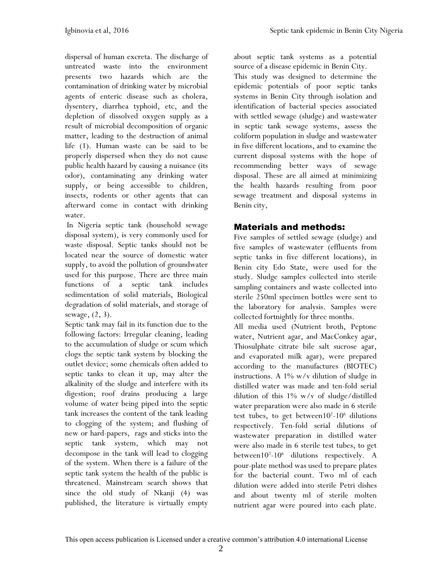dispersal of human excreta. The discharge of untreated waste into the environment presents two hazards which are the contamination of drinking water by microbial agents of enteric disease such as cholera, dysentery, diarrhea typhoid, etc, and the depletion of dissolved oxygen supply as a result of microbial decomposition of organic matter, leading to the destruction of animal life (1). Human waste can be said to be properly dispersed when they do not cause public health hazard by causing a nuisance (its odor), contaminating any drinking water supply, or being accessible to children, insects, rodents or other agents that can afterward come in contact with drinking water.

In Nigeria septic tank (household sewage disposal system), is very commonly used for waste disposal. Septic tanks should not be located near the source of domestic water supply, to avoid the pollution of groundwater used for this purpose. There are three main functions of a septic tank includes sedimentation of solid materials, Biological degradation of solid materials, and storage of sewage, (2, 3).

Septic tank may fail in its function due to the following factors: Irregular cleaning, leading to the accumulation of sludge or scum which clogs the septic tank system by blocking the outlet device; some chemicals often added to septic tanks to clean it up, may alter the alkalinity of the sludge and interfere with its digestion; roof drains producing a large volume of water being piped into the septic tank increases the content of the tank leading to clogging of the system; and flushing of new or hard-papers, rags and sticks into the septic tank system, which may not decompose in the tank will lead to clogging of the system. When there is a failure of the septic tank system the health of the public is threatened. Mainstream search shows that since the old study of Nkanji (4) was published, the literature is virtually empty

about septic tank systems as a potential source of a disease epidemic in Benin City.

This study was designed to determine the epidemic potentials of poor septic tanks systems in Benin City through isolation and identification of bacterial species associated with settled sewage (sludge) and wastewater in septic tank sewage systems, assess the coliform population in sludge and wastewater in five different locations, and to examine the current disposal systems with the hope of recommending better ways of sewage disposal. These are all aimed at minimizing the health hazards resulting from poor sewage treatment and disposal systems in Benin city,

# Materials and methods:

Five samples of settled sewage (sludge) and five samples of wastewater (effluents from septic tanks in five different locations), in Benin city Edo State, were used for the study. Sludge samples collected into sterile sampling containers and waste collected into sterile 250ml specimen bottles were sent to the laboratory for analysis. Samples were collected fortnightly for three months.

All media used (Nutrient broth, Peptone water, Nutrient agar, and MacConkey agar, Thiosulphate citrate bile salt sucrose agar, and evaporated milk agar), were prepared according to the manufactures (BIOTEC) instructions. A 1% w/v dilution of sludge in distilled water was made and ten-fold serial dilution of this 1% w/v of sludge/distilled water preparation were also made in 6 sterile test tubes, to get between  $10^{2}$ - $10^{6}$  dilutions respectively. Ten-fold serial dilutions of wastewater preparation in distilled water were also made in 6 sterile test tubes, to get between10<sup>2</sup>-10<sup>6</sup> dilutions respectively. A pour-plate method was used to prepare plates for the bacterial count. Two ml of each dilution were added into sterile Petri dishes and about twenty ml of sterile molten nutrient agar were poured into each plate.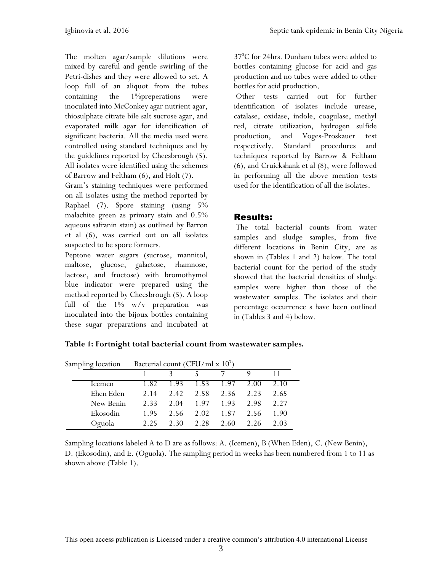The molten agar/sample dilutions were mixed by careful and gentle swirling of the Petri-dishes and they were allowed to set. A loop full of an aliquot from the tubes containing the 1%preperations were inoculated into McConkey agar nutrient agar, thiosulphate citrate bile salt sucrose agar, and evaporated milk agar for identification of significant bacteria. All the media used were controlled using standard techniques and by the guidelines reported by Cheesbrough (5). All isolates were identified using the schemes of Barrow and Feltham (6), and Holt (7).

Gram's staining techniques were performed on all isolates using the method reported by Raphael (7). Spore staining (using 5% malachite green as primary stain and 0.5% aqueous safranin stain) as outlined by Barron et al (6), was carried out on all isolates suspected to be spore formers.

Peptone water sugars (sucrose, mannitol, maltose, glucose, galactose, rhamnose, lactose, and fructose) with bromothymol blue indicator were prepared using the method reported by Cheesbrough (5). A loop full of the 1% w/v preparation was inoculated into the bijoux bottles containing these sugar preparations and incubated at 37<sup>0</sup>C for 24hrs. Dunham tubes were added to bottles containing glucose for acid and gas production and no tubes were added to other bottles for acid production.

Other tests carried out for further identification of isolates include urease, catalase, oxidase, indole, coagulase, methyl red, citrate utilization, hydrogen sulfide production, and Voges-Proskauer test respectively. Standard procedures and techniques reported by Barrow & Feltham (6), and Cruickshank et al (8), were followed in performing all the above mention tests used for the identification of all the isolates.

# Results:

The total bacterial counts from water samples and sludge samples, from five different locations in Benin City, are as shown in (Tables 1 and 2) below. The total bacterial count for the period of the study showed that the bacterial densities of sludge samples were higher than those of the wastewater samples. The isolates and their percentage occurrence s have been outlined in (Tables 3 and 4) below.

| Sampling location | Bacterial count (CFU/ml x $107$ ) |       |      |      |      |      |
|-------------------|-----------------------------------|-------|------|------|------|------|
|                   |                                   |       |      |      |      |      |
| Icemen            | 1.82                              | i 93. | 1.53 | 1.97 | 2.00 | 2.10 |
| Ehen Eden         | 2.14                              | 242   | 2.58 | 2.36 | 223  | 2.65 |
| New Benin         | 2.33                              | 2.04  | 1.97 | 1.93 | 2.98 | 227  |
| Ekosodin          | 1.95                              | 2.56  | 2.02 | 1.87 | 2.56 | 1.90 |
| Oguola            | 225                               | 2.30  | 2.28 | 2.60 | 226  | 2 03 |

**Table 1: Fortnight total bacterial count from wastewater samples.** 

Sampling locations labeled A to D are as follows: A. (Icemen), B (When Eden), C. (New Benin), D. (Ekosodin), and E. (Oguola). The sampling period in weeks has been numbered from 1 to 11 as shown above (Table 1).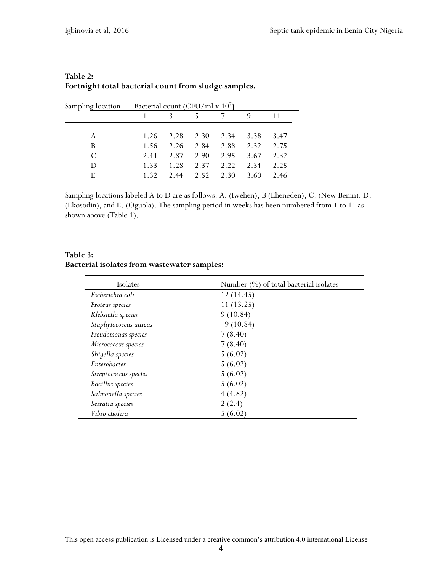| Sampling location | Bacterial count (CFU/ml x $107$ ) |      |      |      |      |      |
|-------------------|-----------------------------------|------|------|------|------|------|
|                   |                                   |      |      |      | Q    |      |
|                   |                                   |      |      |      |      |      |
| A                 | 1.26                              | 2.28 | 2.30 | 2.34 | 3.38 | 3.47 |
| B                 | 1.56                              | 2.26 | 2.84 | 2.88 | 2.32 | 2.75 |
| C                 | 2.44                              | 2.87 | 2.90 | 2.95 | 3.67 | 2.32 |
| D                 | 1.33                              | 1.28 | 2.37 | 2.22 | 2.34 | 2.25 |
| E                 | 1.32                              | 2.44 | 2.52 | 2.30 | 3.60 | 2.46 |

#### **Table 2: Fortnight total bacterial count from sludge samples.**

Sampling locations labeled A to D are as follows: A. (Iwehen), B (Eheneden), C. (New Benin), D. (Ekosodin), and E. (Oguola). The sampling period in weeks has been numbered from 1 to 11 as shown above (Table 1).

#### **Table 3: Bacterial isolates from wastewater samples:**

| Isolates                | Number (%) of total bacterial isolates |
|-------------------------|----------------------------------------|
| Escherichia coli        | 12(14.45)                              |
| Proteus species         | 11(13.25)                              |
| Klebsiella species      | 9(10.84)                               |
| Staphylococcus aureus   | 9(10.84)                               |
| Pseudomonas species     | 7(8.40)                                |
| Micrococcus species     | 7(8.40)                                |
| Shigella species        | 5(6.02)                                |
| Enterobacter            | 5(6.02)                                |
| Streptococcus species   | 5(6.02)                                |
| <b>Bacillus</b> species | 5(6.02)                                |
| Salmonella species      | 4(4.82)                                |
| Serratia species        | 2(2.4)                                 |
| Vibro cholera           | 5(6.02)                                |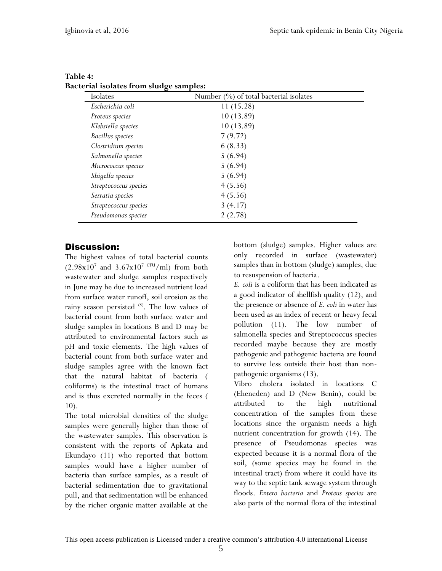| Isolates                | Number $(\%)$ of total bacterial isolates |
|-------------------------|-------------------------------------------|
| Escherichia coli        | 11(15.28)                                 |
| Proteus species         | 10(13.89)                                 |
| Klebsiella species      | 10(13.89)                                 |
| <b>Bacillus</b> species | 7(9.72)                                   |
| Clostridium species     | 6(8.33)                                   |
| Salmonella species      | 5(6.94)                                   |
| Micrococcus species     | 5(6.94)                                   |
| Shigella species        | 5(6.94)                                   |
| Streptococcus species   | 4(5.56)                                   |
| Serratia species        | 4(5.56)                                   |
| Streptococcus species   | 3(4.17)                                   |
| Pseudomonas species     | 2(2.78)                                   |

#### **Table 4: Bacterial isolates from sludge samples:**

# Discussion:

The highest values of total bacterial counts  $(2.98x10^7 \text{ and } 3.67x10^7 \text{ CFU/ml})$  from both wastewater and sludge samples respectively in June may be due to increased nutrient load from surface water runoff, soil erosion as the rainy season persisted (8). The low values of bacterial count from both surface water and sludge samples in locations B and D may be attributed to environmental factors such as pH and toxic elements. The high values of bacterial count from both surface water and sludge samples agree with the known fact that the natural habitat of bacteria ( coliforms) is the intestinal tract of humans and is thus excreted normally in the feces ( 10).

The total microbial densities of the sludge samples were generally higher than those of the wastewater samples. This observation is consistent with the reports of Apkata and Ekundayo (11) who reported that bottom samples would have a higher number of bacteria than surface samples, as a result of bacterial sedimentation due to gravitational pull, and that sedimentation will be enhanced by the richer organic matter available at the bottom (sludge) samples. Higher values are only recorded in surface (wastewater) samples than in bottom (sludge) samples, due to resuspension of bacteria.

*E. coli* is a coliform that has been indicated as a good indicator of shellfish quality (12), and the presence or absence of *E. coli* in water has been used as an index of recent or heavy fecal pollution (11). The low number of salmonella species and Streptococcus species recorded maybe because they are mostly pathogenic and pathogenic bacteria are found to survive less outside their host than nonpathogenic organisms (13).

Vibro cholera isolated in locations C (Eheneden) and D (New Benin), could be attributed to the high nutritional concentration of the samples from these locations since the organism needs a high nutrient concentration for growth (14). The presence of Pseudomonas species was expected because it is a normal flora of the soil, (some species may be found in the intestinal tract) from where it could have its way to the septic tank sewage system through floods. *Entero bacteria* and *Proteus species* are also parts of the normal flora of the intestinal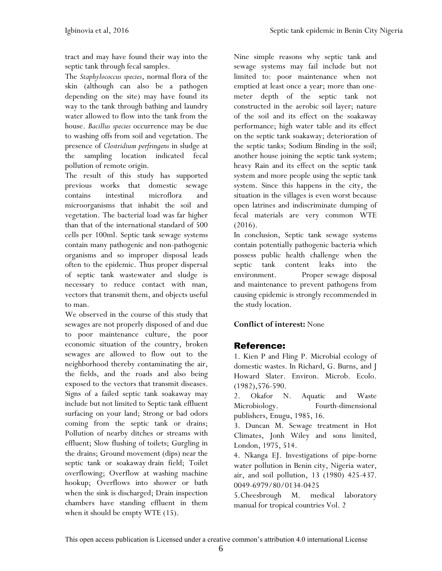tract and may have found their way into the septic tank through fecal samples.

The *Staphylococcus species*, normal flora of the skin (although can also be a pathogen depending on the site) may have found its way to the tank through bathing and laundry water allowed to flow into the tank from the house. *Bacillus species* occurrence may be due to washing offs from soil and vegetation. The presence of *Clostridium perfringens* in sludge at the sampling location indicated fecal pollution of remote origin.

The result of this study has supported previous works that domestic sewage contains intestinal microflora and microorganisms that inhabit the soil and vegetation. The bacterial load was far higher than that of the international standard of 500 cells per 100ml. Septic tank sewage systems contain many pathogenic and non-pathogenic organisms and so improper disposal leads often to the epidemic. Thus proper dispersal of septic tank wastewater and sludge is necessary to reduce contact with man, vectors that transmit them, and objects useful to man.

We observed in the course of this study that sewages are not properly disposed of and due to poor maintenance culture, the poor economic situation of the country, broken sewages are allowed to flow out to the neighborhood thereby contaminating the air, the fields, and the roads and also being exposed to the vectors that transmit diseases. Signs of a failed septic tank soakaway may include but not limited to Septic tank effluent surfacing on your land; Strong or bad odors coming from the septic tank or drains; Pollution of nearby ditches or streams with effluent; Slow flushing of toilets; Gurgling in the drains; Ground movement (dips) near the septic tank or soakaway drain field; Toilet overflowing; Overflow at washing machine hookup; Overflows into shower or bath when the sink is discharged; Drain inspection chambers have standing effluent in them when it should be empty WTE (15).

Nine simple reasons why septic tank and sewage systems may fail include but not limited to: poor maintenance when not emptied at least once a year; more than onemeter depth of the septic tank not constructed in the aerobic soil layer; nature of the soil and its effect on the soakaway performance; high water table and its effect on the septic tank soakaway; deterioration of the septic tanks; Sodium Binding in the soil; another house joining the septic tank system; heavy Rain and its effect on the septic tank system and more people using the septic tank system. Since this happens in the city, the situation in the villages is even worst because open latrines and indiscriminate dumping of fecal materials are very common WTE (2016).

In conclusion, Septic tank sewage systems contain potentially pathogenic bacteria which possess public health challenge when the septic tank content leaks into the environment. Proper sewage disposal and maintenance to prevent pathogens from causing epidemic is strongly recommended in the study location.

#### **Conflict of interest:** None

# Reference:

1. Kien P and Fling P. Microbial ecology of domestic wastes. In Richard, G. Burns, and J Howard Slater. Environ. Microb. Ecolo. (1982),576-590.

2. Okafor N. Aquatic and Waste Microbiology. Fourth-dimensional publishers, Enugu, 1985, 16.

3. Duncan M. Sewage treatment in Hot Climates, Jonh Wiley and sons limited, London, 1975, 514.

4. Nkanga EJ. Investigations of pipe-borne water pollution in Benin city, Nigeria water, air, and soil pollution, 13 (1980) 425-437. 0049-6979/80/0134-0425

5.Cheesbrough M. medical laboratory manual for tropical countries Vol. 2